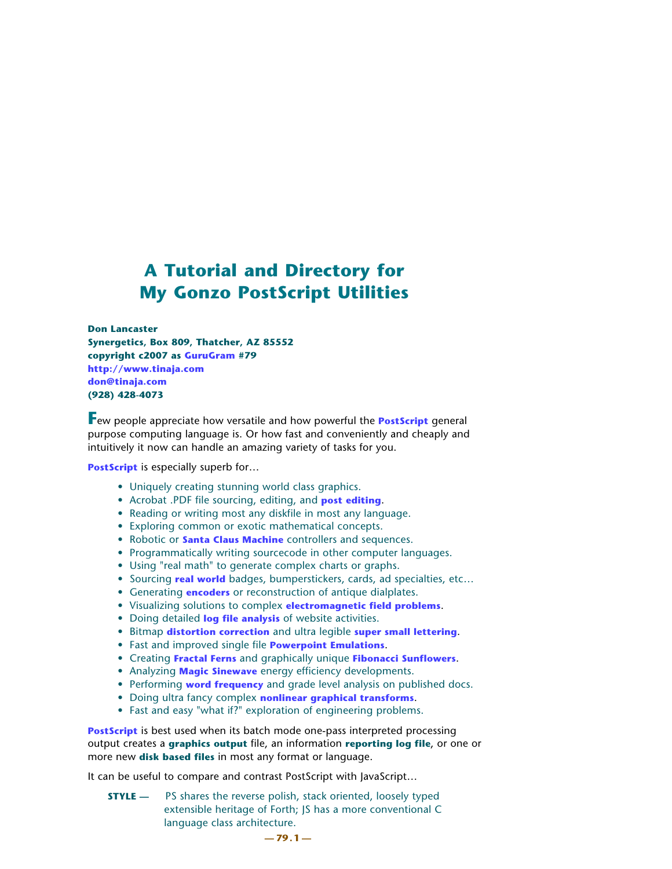# **A Tutorial and Directory for My Gonzo PostScript Utilities**

**Don Lancaster Synergetics, Box 809, Thatcher, AZ 85552 copyright c2007 as [GuruGram](http://www.tinaja.com/gurgrm01.asp) #79 <http://www.tinaja.com> [don@tinaja.com](mailto:don@tinaja.com) (928) 428-4073**

**F**ew people appreciate how versatile and how powerful the **[PostScript](http://www.tinaja.com/post01.asp)** general purpose computing language is. Or how fast and conveniently and cheaply and intuitively it now can handle an amazing variety of tasks for you.

**[PostScript](http://www.tinaja.com/post01.asp)** is especially superb for...

- Uniquely creating stunning world class graphics.
- Acrobat .PDF file sourcing, editing, and **[post editing](/http://www.tinaja.com/glib/pdfedit1.pdf)**.
- Reading or writing most any diskfile in most any language.
- Exploring common or exotic mathematical concepts.
- Robotic or **[Santa Claus Machine](http://www.tinaja.com/santa01.asp)** controllers and sequences.
- Programmatically writing sourcecode in other computer languages.
- Using "real math" to generate complex charts or graphs.
- Sourcing **[real world](http://www.tinaja.com/post01.asp#begstuff)** badges, bumperstickers, cards, ad specialties, etc…
- Generating **[encoders](http://www.tinaja.com/glib/psnt.pdf)** or reconstruction of antique dialplates.
- Visualizing solutions to complex **[electromagnetic field problems](http://www.tinaja.com/glib/rebound1.pdf)**.
- Doing detailed **[log file analysis](http://www.tinaja.com/glib/histolog.pdf)** of website activities.
- Bitmap **[distortion correction](http://www.tinaja.com/glib/swingtlt.pdf)** and ultra legible **[super small lettering](http://www.tinaja.com/glib/bmfauto1.pdf)**.
- Fast and improved single file **[Powerpoint Emulations](http://www.tinaja.com/glib/gonzopow.pdf)**.
- Creating **[Fractal Ferns](http://www.tinaja.com/psutils/fern2img.pdf)** and graphically unique **[Fibonacci Sunflowers](http://www.tinaja.com/glib/muse89.pdf)**.
- Analyzing **[Magic Sinewave](http://www.tinaja.com/magsn01.asp)** energy efficiency developments.
- Performing **[word frequency](http://www.tinaja.com/glib/wordfreq.pdf)** and grade level analysis on published docs.
- Doing ultra fancy complex **[nonlinear graphical transforms](http://www.tinaja.com/glib/nonlingr.pdf)**.
- Fast and easy "what if?" exploration of engineering problems.

**[PostScript](http://www.tinaja.com/post01.asp)** is best used when its batch mode one-pass interpreted processing output creates a **graphics output** file, an information **reporting log file**, or one or more new **disk based files** in most any format or language.

It can be useful to compare and contrast PostScript with JavaScript…

**STYLE** — PS shares the reverse polish, stack oriented, loosely typed extensible heritage of Forth; JS has a more conventional C language class architecture.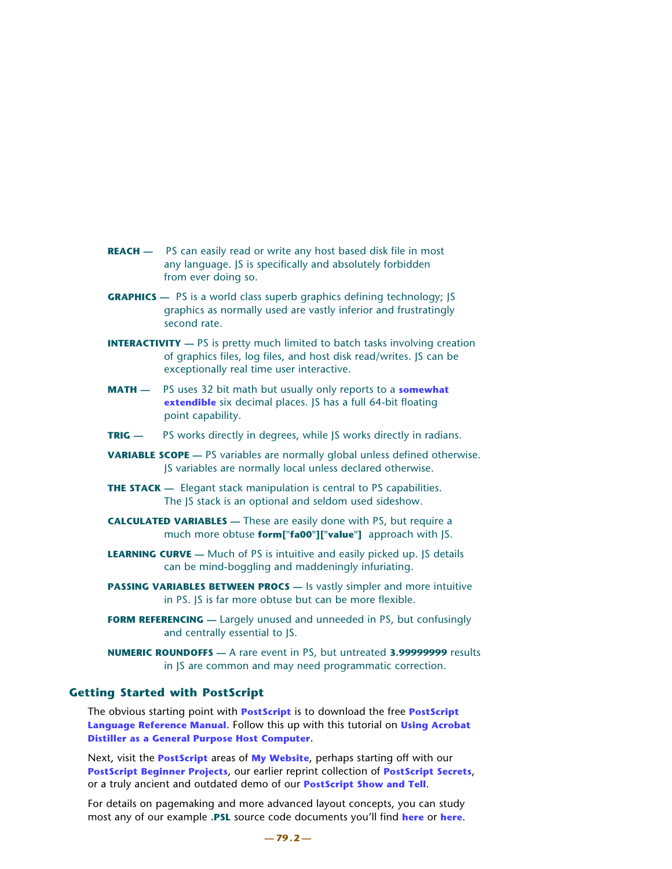- **REACH** PS can easily read or write any host based disk file in most any language. JS is specifically and absolutely forbidden from ever doing so.
- **GRAPHICS** PS is a world class superb graphics defining technology; IS graphics as normally used are vastly inferior and frustratingly second rate.
- **INTERACTIVITY** PS is pretty much limited to batch tasks involving creation of graphics files, log files, and host disk read/writes. JS can be exceptionally real time user interactive.
- **MATH** PS uses 32 bit math but usually only reports to a **[somewhat](http://www.tinaja.com/glib/ps8dprp1.pdf) [extendible](http://www.tinaja.com/glib/ps8dprp1.pdf)** six decimal places. JS has a full 64-bit floating point capability.
- **TRIG —** PS works directly in degrees, while JS works directly in radians.
- **VARIABLE SCOPE** PS variables are normally global unless defined otherwise. JS variables are normally local unless declared otherwise.
- **THE STACK** Elegant stack manipulation is central to PS capabilities. The JS stack is an optional and seldom used sideshow.
- **CALCULATED VARIABLES** These are easily done with PS, but require a much more obtuse **form["fa00"]["value"]** approach with JS.
- **LEARNING CURVE** Much of PS is intuitive and easily picked up. JS details can be mind-boggling and maddeningly infuriating.
- **PASSING VARIABLES BETWEEN PROCS** Is vastly simpler and more intuitive in PS. JS is far more obtuse but can be more flexible.
- **FORM REFERENCING** Largely unused and unneeded in PS, but confusingly and centrally essential to JS.
- **NUMERIC ROUNDOFFS** A rare event in PS, but untreated **3.99999999** results in JS are common and may need programmatic correction.

# **Getting Started with PostScript**

The obvious starting point with **[PostScript](http://www.tinaja.com/post01.asp)** is to download the free **[PostScript](http://www.adobe.com/products/postscript/pdfs/PLRM.pdf)  [Language Reference Manual](http://www.adobe.com/products/postscript/pdfs/PLRM.pdf)**. Follow this up with this tutorial on **[Using Acrobat](http://www.tinaja.com/glib/distlang.pdf)  [Distiller as a General Purpose Host Computer](http://www.tinaja.com/glib/distlang.pdf)**.

Next, visit the **[PostScript](http://www.tinaja.com/post01.asp)** areas of **[My Website](http://www.tinaja.com)**, perhaps starting off with our **[PostScript Beginner Projects](http://www.tinaja.com/post01.asp#begstuff)**, our earlier reprint collection of **[PostScript Secrets](http://www.tinaja.com/glib/pssecrets.pdf)**, or a truly ancient and outdated demo of our **[PostScript Show and Tell](http://www.tinaja.com/glib/psnt.pdf)**.

For details on pagemaking and more advanced layout concepts, you can study most any of our example **.PSL** source code documents you'll find **[here](http://www.tinaja.com/gurgrm01.asp)** or **[here](http://www.tinaja.com/muse01.asp)**.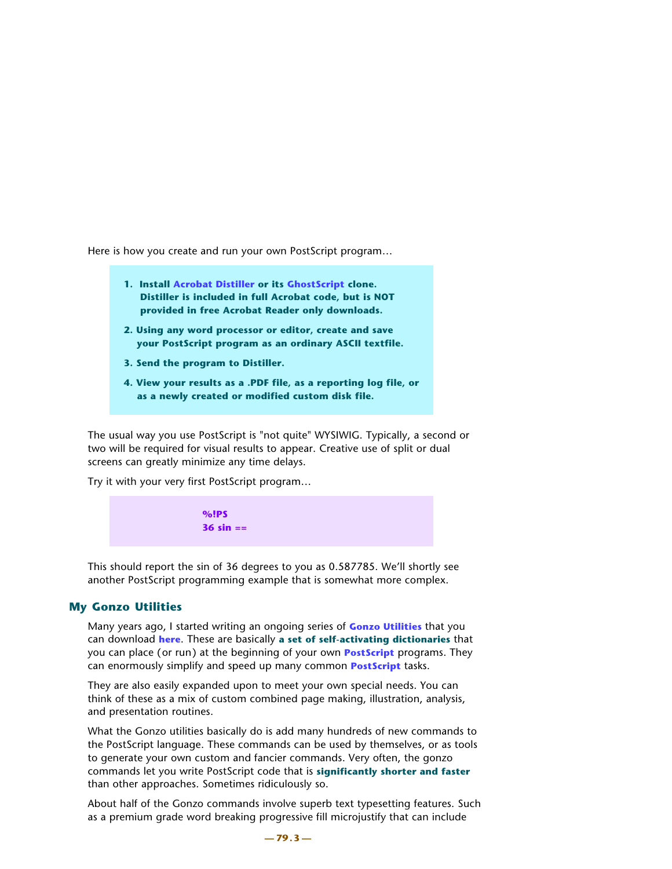Here is how you create and run your own PostScript program…

- **1. Install [Acrobat Distiller](http://www.adobe.com) or its [GhostScript](http://www.cs.wisc.edu/~ghost/) clone. Distiller is included in full Acrobat code, but is NOT provided in free Acrobat Reader only downloads.**
- **2. Using any word processor or editor, create and save your PostScript program as an ordinary ASCII textfile.**
- **3. Send the program to Distiller.**
- **4. View your results as a .PDF file, as a reporting log file, or as a newly created or modified custom disk file.**

The usual way you use PostScript is "not quite" WYSIWIG. Typically, a second or two will be required for visual results to appear. Creative use of split or dual screens can greatly minimize any time delays.

Try it with your very first PostScript program…

 **%!PS 36 sin ==**

This should report the sin of 36 degrees to you as 0.587785. We'll shortly see another PostScript programming example that is somewhat more complex.

# **My Gonzo Utilities**

Many years ago, I started writing an ongoing series of **[Gonzo Utilities](http://www.tinaja.com/post01.asp#gonzo)** that you can download **[here](http://www.tinaja.com/post01.asp#gonzo)**. These are basically **a set of self-activating dictionaries** that you can place (or run) at the beginning of your own **[PostScript](http://www.tinaja.com/post01.asp)** programs. They can enormously simplify and speed up many common **[PostScript](http://www.tinaja.com/post01.asp)** tasks.

They are also easily expanded upon to meet your own special needs. You can think of these as a mix of custom combined page making, illustration, analysis, and presentation routines.

What the Gonzo utilities basically do is add many hundreds of new commands to the PostScript language. These commands can be used by themselves, or as tools to generate your own custom and fancier commands. Very often, the gonzo commands let you write PostScript code that is **significantly shorter and faster** than other approaches. Sometimes ridiculously so.

About half of the Gonzo commands involve superb text typesetting features. Such as a premium grade word breaking progressive fill microjustify that can include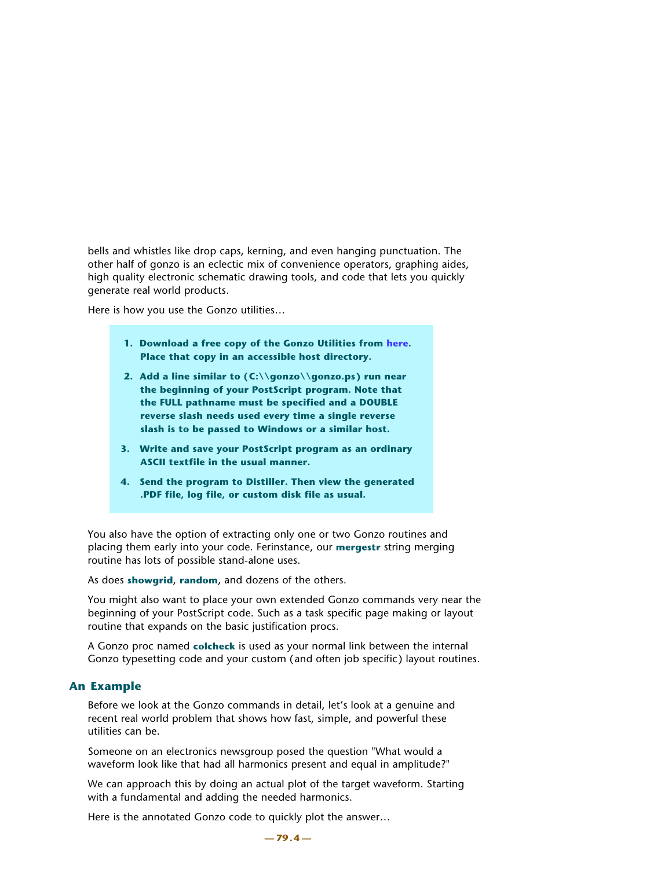bells and whistles like drop caps, kerning, and even hanging punctuation. The other half of gonzo is an eclectic mix of convenience operators, graphing aides, high quality electronic schematic drawing tools, and code that lets you quickly generate real world products.

Here is how you use the Gonzo utilities…

- **1. Download a free copy of the Gonzo Utilities from [here.](http://www.tinaja.com/post01.asp#gonzo) Place that copy in an accessible host directory.**
- **2. Add a line similar to (C:\\gonzo\\gonzo.ps) run near the beginning of your PostScript program. Note that the FULL pathname must be specified and a DOUBLE reverse slash needs used every time a single reverse slash is to be passed to Windows or a similar host.**
- **3. Write and save your PostScript program as an ordinary ASCII textfile in the usual manner.**
- **4. Send the program to Distiller. Then view the generated .PDF file, log file, or custom disk file as usual.**

You also have the option of extracting only one or two Gonzo routines and placing them early into your code. Ferinstance, our **mergestr** string merging routine has lots of possible stand-alone uses.

As does **showgrid**, **random**, and dozens of the others.

You might also want to place your own extended Gonzo commands very near the beginning of your PostScript code. Such as a task specific page making or layout routine that expands on the basic justification procs.

A Gonzo proc named **colcheck** is used as your normal link between the internal Gonzo typesetting code and your custom (and often job specific) layout routines.

# **An Example**

Before we look at the Gonzo commands in detail, let's look at a genuine and recent real world problem that shows how fast, simple, and powerful these utilities can be.

Someone on an electronics newsgroup posed the question "What would a waveform look like that had all harmonics present and equal in amplitude?"

We can approach this by doing an actual plot of the target waveform. Starting with a fundamental and adding the needed harmonics.

Here is the annotated Gonzo code to quickly plot the answer…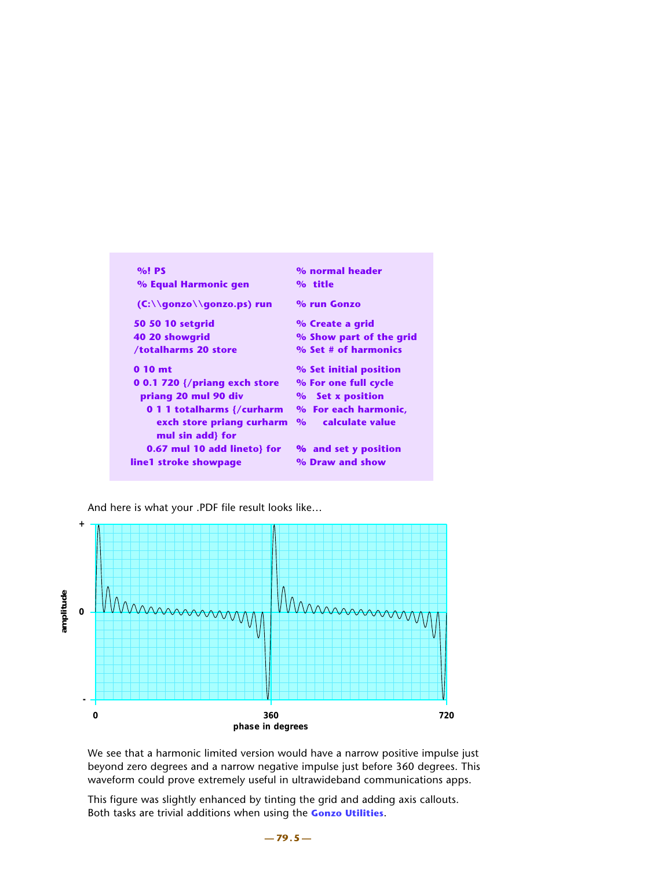| $%!$ PS                                    | % normal header                              |
|--------------------------------------------|----------------------------------------------|
| % Equal Harmonic gen                       | % title                                      |
| (C:\\gonzo\\gonzo.ps) run                  | % run Gonzo                                  |
| <b>50 50 10 setgrid</b>                    | % Create a grid                              |
| 40 20 showgrid                             | % Show part of the grid                      |
| /totalharms 20 store                       | % Set # of harmonics                         |
| $0.10$ mt                                  | % Set initial position                       |
| 0 0.1 720 $\frac{1}{2}$ (priang exch store | % For one full cycle                         |
| priang 20 mul 90 div                       | % Set x position                             |
| 0 1 1 totalharms {/curharm                 | % For each harmonic,                         |
| exch store priang curharm                  | calculate value<br>$\mathbf{O}_{\mathbf{O}}$ |
| mul sin add} for                           |                                              |
| 0.67 mul 10 add lineto} for                | % and set y position                         |
| line1 stroke showpage                      | % Draw and show                              |

And here is what your .PDF file result looks like…



We see that a harmonic limited version would have a narrow positive impulse just beyond zero degrees and a narrow negative impulse just before 360 degrees. This waveform could prove extremely useful in ultrawideband communications apps.

This figure was slightly enhanced by tinting the grid and adding axis callouts. Both tasks are trivial additions when using the **[Gonzo Utilities](http://www.tinaja.com/post01.asp#gonzo)**.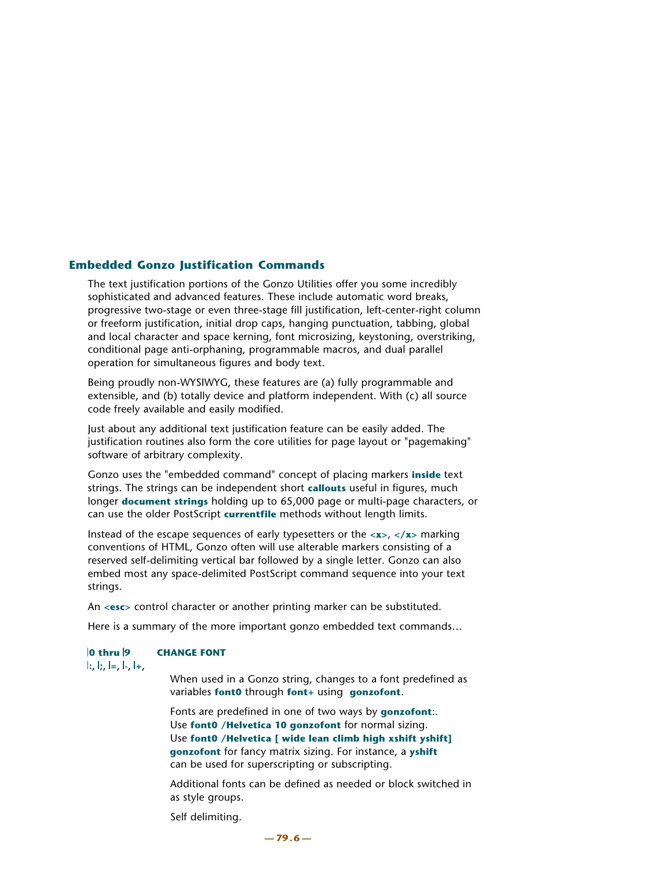# **Embedded Gonzo Justification Commands**

The text justification portions of the Gonzo Utilities offer you some incredibly sophisticated and advanced features. These include automatic word breaks, progressive two-stage or even three-stage fill justification, left-center-right column or freeform justification, initial drop caps, hanging punctuation, tabbing, global and local character and space kerning, font microsizing, keystoning, overstriking, conditional page anti-orphaning, programmable macros, and dual parallel operation for simultaneous figures and body text.

Being proudly non-WYSIWYG, these features are (a) fully programmable and extensible, and (b) totally device and platform independent. With (c) all source code freely available and easily modified.

Just about any additional text justification feature can be easily added. The justification routines also form the core utilities for page layout or "pagemaking" software of arbitrary complexity.

Gonzo uses the "embedded command" concept of placing markers **inside** text strings. The strings can be independent short **callouts** useful in figures, much longer **document strings** holding up to 65,000 page or multi-page characters, or can use the older PostScript **currentfile** methods without length limits.

Instead of the escape sequences of early typesetters or the **<x>, </x>** marking conventions of HTML, Gonzo often will use alterable markers consisting of a reserved self-delimiting vertical bar followed by a single letter. Gonzo can also embed most any space-delimited PostScript command sequence into your text strings.

An **<esc>** control character or another printing marker can be substituted.

Here is a summary of the more important gonzo embedded text commands…

# **0 thru 9 CHANGE FONT**

**:**, **;**, **=**, **-**, **+**,

 When used in a Gonzo string, changes to a font predefined as variables **font0** through **font+** using **gonzofont**.

 Fonts are predefined in one of two ways by **gonzofont**:. Use **font0 /Helvetica 10 gonzofont** for normal sizing. Use **font0 /Helvetica [ wide lean climb high xshift yshift] gonzofont** for fancy matrix sizing. For instance, a **yshift** can be used for superscripting or subscripting.

 Additional fonts can be defined as needed or block switched in as style groups.

Self delimiting.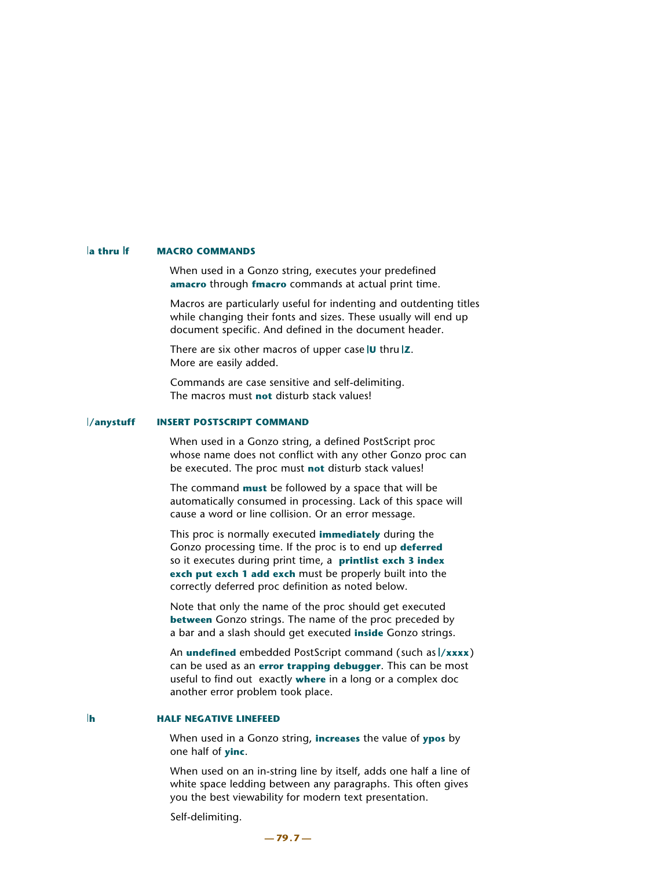#### **la thru If MACRO COMMANDS**

When used in a Gonzo string, executes your predefined **amacro** through **fmacro** commands at actual print time.

 Macros are particularly useful for indenting and outdenting titles while changing their fonts and sizes. These usually will end up document specific. And defined in the document header.

 There are six other macros of upper case **U** thru **Z**. More are easily added.

 Commands are case sensitive and self-delimiting. The macros must **not** disturb stack values!

#### **/anystuff INSERT POSTSCRIPT COMMAND**

When used in a Gonzo string, a defined PostScript proc whose name does not conflict with any other Gonzo proc can be executed. The proc must **not** disturb stack values!

 The command **must** be followed by a space that will be automatically consumed in processing. Lack of this space will cause a word or line collision. Or an error message.

 This proc is normally executed **immediately** during the Gonzo processing time. If the proc is to end up **deferred** so it executes during print time, a **printlist exch 3 index exch put exch 1 add exch** must be properly built into the correctly deferred proc definition as noted below.

 Note that only the name of the proc should get executed **between** Gonzo strings. The name of the proc preceded by a bar and a slash should get executed **inside** Gonzo strings.

An **undefined** embedded PostScript command (such as  $\frac{1}{x}x$ xxx) can be used as an **error trapping debugger**. This can be most useful to find out exactly **where** in a long or a complex doc another error problem took place.

### **h HALF NEGATIVE LINEFEED**

When used in a Gonzo string, **increases** the value of **ypos** by one half of **yinc**.

 When used on an in-string line by itself, adds one half a line of white space ledding between any paragraphs. This often gives you the best viewability for modern text presentation.

Self-delimiting.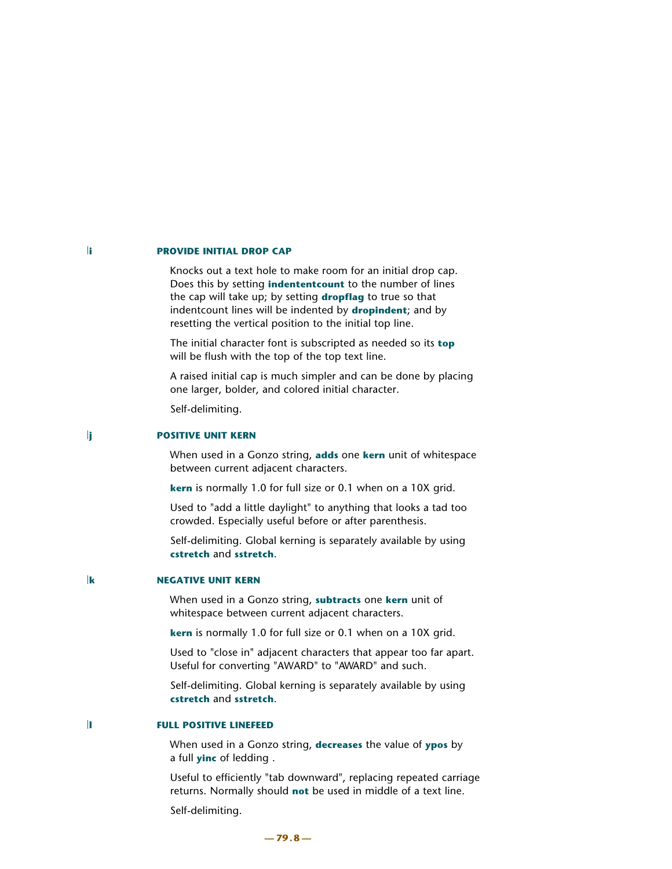#### **ii PROVIDE INITIAL DROP CAP**

Knocks out a text hole to make room for an initial drop cap. Does this by setting **indententcount** to the number of lines the cap will take up; by setting **dropflag** to true so that indentcount lines will be indented by **dropindent**; and by resetting the vertical position to the initial top line.

 The initial character font is subscripted as needed so its **top** will be flush with the top of the top text line.

 A raised initial cap is much simpler and can be done by placing one larger, bolder, and colored initial character.

Self-delimiting.

#### **ii** POSITIVE UNIT KERN

When used in a Gonzo string, **adds** one **kern** unit of whitespace between current adjacent characters.

**kern** is normally 1.0 for full size or 0.1 when on a 10X grid.

 Used to "add a little daylight" to anything that looks a tad too crowded. Especially useful before or after parenthesis.

 Self-delimiting. Global kerning is separately available by using **cstretch** and **sstretch**.

#### **k** NEGATIVE UNIT KERN

When used in a Gonzo string, **subtracts** one **kern** unit of whitespace between current adjacent characters.

**kern** is normally 1.0 for full size or 0.1 when on a 10X grid.

 Used to "close in" adjacent characters that appear too far apart. Useful for converting "AWARD" to "AWARD" and such.

 Self-delimiting. Global kerning is separately available by using **cstretch** and **sstretch**.

### **li** FULL POSITIVE LINEFEED

When used in a Gonzo string, **decreases** the value of **ypos** by a full **yinc** of ledding .

 Useful to efficiently "tab downward", replacing repeated carriage returns. Normally should **not** be used in middle of a text line.

Self-delimiting.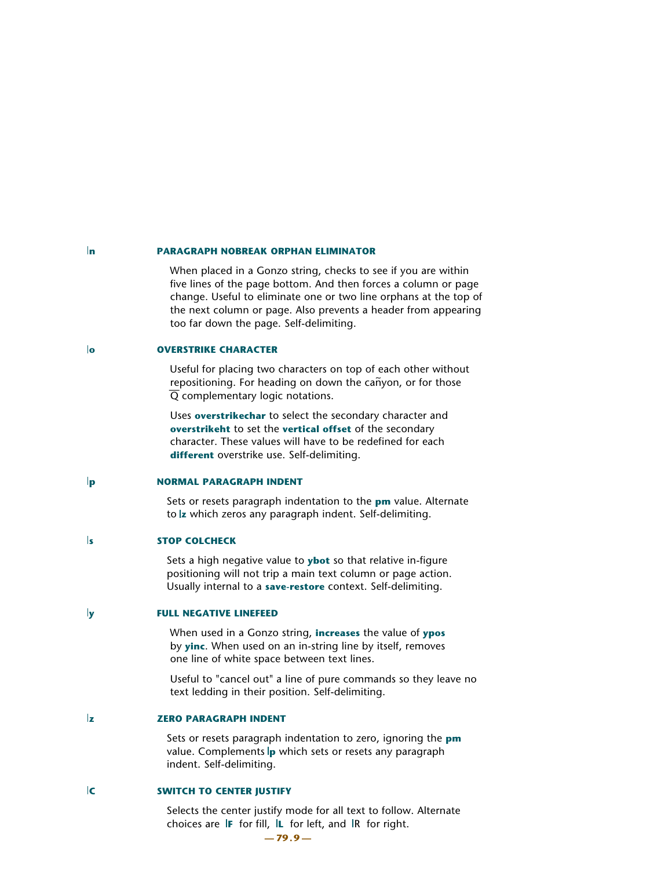#### **n PARAGRAPH NOBREAK ORPHAN ELIMINATOR**

When placed in a Gonzo string, checks to see if you are within five lines of the page bottom. And then forces a column or page change. Useful to eliminate one or two line orphans at the top of the next column or page. Also prevents a header from appearing too far down the page. Self-delimiting.

### **lo OVERSTRIKE CHARACTER**

Useful for placing two characters on top of each other without repositioning. For heading on down the canyon, or for those  $\overline{Q}$  complementary logic notations.

 Uses **overstrikechar** to select the secondary character and **overstrikeht** to set the **vertical offset** of the secondary character. These values will have to be redefined for each **different** overstrike use. Self-delimiting.

#### **p NORMAL PARAGRAPH INDENT**

Sets or resets paragraph indentation to the **pm** value. Alternate to **z** which zeros any paragraph indent. Self-delimiting.

#### **stop Colcheck**

Sets a high negative value to **ybot** so that relative in-figure positioning will not trip a main text column or page action. Usually internal to a **save-restore** context. Self-delimiting.

#### **y FULL NEGATIVE LINEFEED**

When used in a Gonzo string, **increases** the value of **ypos** by **yinc**. When used on an in-string line by itself, removes one line of white space between text lines.

 Useful to "cancel out" a line of pure commands so they leave no text ledding in their position. Self-delimiting.

#### **z** *zERO PARAGRAPH INDENT*

Sets or resets paragraph indentation to zero, ignoring the **pm** value. Complements **p** which sets or resets any paragraph indent. Self-delimiting.

#### **C** SWITCH TO CENTER JUSTIFY

Selects the center justify mode for all text to follow. Alternate choices are **F** for fill, **L** for left, and **R** for right.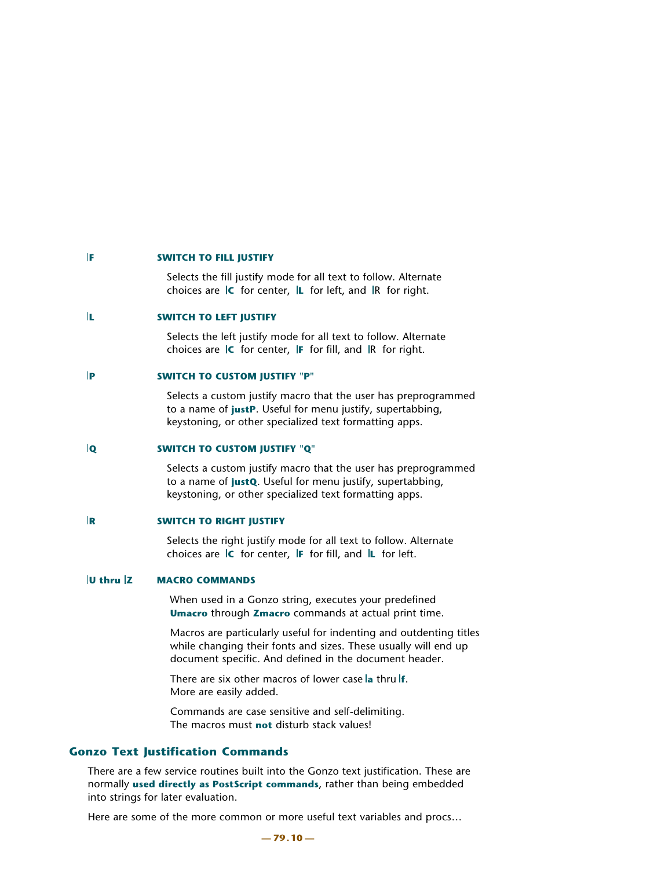#### **F** SWITCH TO FILL JUSTIFY

Selects the fill justify mode for all text to follow. Alternate choices are **IC** for center, **IL** for left, and IR for right.

#### **L SWITCH TO LEFT JUSTIFY**

Selects the left justify mode for all text to follow. Alternate choices are **IC** for center, **F** for fill, and **R** for right.

### **P** SWITCH TO CUSTOM IUSTIFY "P"

Selects a custom justify macro that the user has preprogrammed to a name of **justP**. Useful for menu justify, supertabbing, keystoning, or other specialized text formatting apps.

#### **Q SWITCH TO CUSTOM JUSTIFY "Q"**

Selects a custom justify macro that the user has preprogrammed to a name of **justQ**. Useful for menu justify, supertabbing, keystoning, or other specialized text formatting apps.

#### **R SWITCH TO RIGHT JUSTIFY**

Selects the right justify mode for all text to follow. Alternate choices are **C** for center, **F** for fill, and **L** for left.

#### **U thru Z MACRO COMMANDS**

When used in a Gonzo string, executes your predefined **Umacro** through **Zmacro** commands at actual print time.

 Macros are particularly useful for indenting and outdenting titles while changing their fonts and sizes. These usually will end up document specific. And defined in the document header.

 There are six other macros of lower case **a** thru **f**. More are easily added.

 Commands are case sensitive and self-delimiting. The macros must **not** disturb stack values!

# **Gonzo Text Justification Commands**

There are a few service routines built into the Gonzo text justification. These are normally **used directly as PostScript commands**, rather than being embedded into strings for later evaluation.

Here are some of the more common or more useful text variables and procs…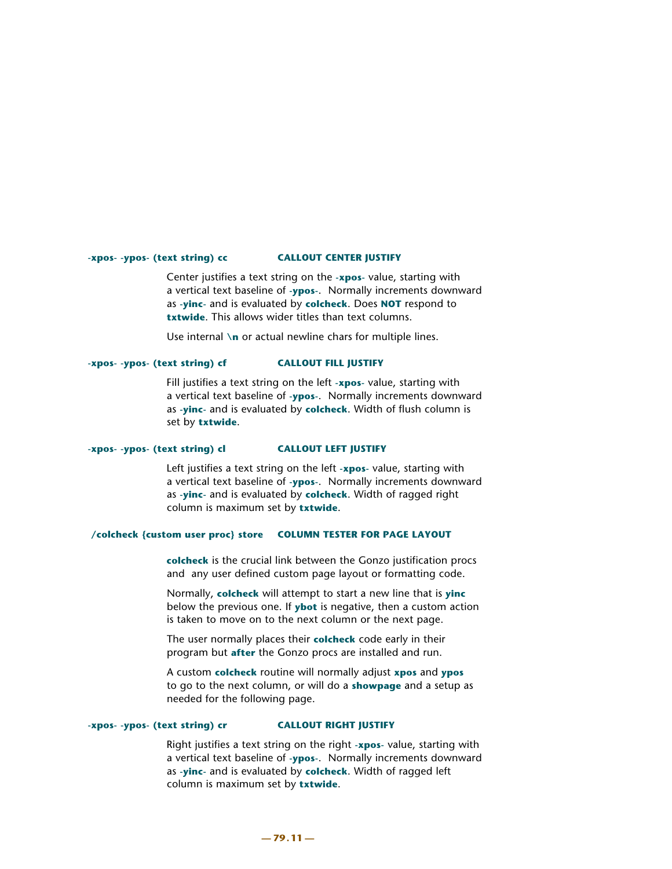# **-xpos- -ypos- (text string) cc CALLOUT CENTER JUSTIFY**

Center justifies a text string on the **-xpos-** value, starting with a vertical text baseline of **-ypos-**. Normally increments downward as **-yinc-** and is evaluated by **colcheck**. Does **NOT** respond to **txtwide**. This allows wider titles than text columns.

Use internal **\n** or actual newline chars for multiple lines.

# **-xpos- -ypos- (text string) cf CALLOUT FILL JUSTIFY**

Fill justifies a text string on the left **-xpos-** value, starting with a vertical text baseline of **-ypos-**. Normally increments downward as **-yinc-** and is evaluated by **colcheck**. Width of flush column is set by **txtwide**.

# **-xpos- -ypos- (text string) cl CALLOUT LEFT JUSTIFY**

Left justifies a text string on the left **-xpos-** value, starting with a vertical text baseline of **-ypos-**. Normally increments downward as **-yinc-** and is evaluated by **colcheck**. Width of ragged right column is maximum set by **txtwide**.

#### **/colcheck {custom user proc} store COLUMN TESTER FOR PAGE LAYOUT**

 **colcheck** is the crucial link between the Gonzo justification procs and any user defined custom page layout or formatting code.

 Normally, **colcheck** will attempt to start a new line that is **yinc** below the previous one. If **ybot** is negative, then a custom action is taken to move on to the next column or the next page.

 The user normally places their **colcheck** code early in their program but **after** the Gonzo procs are installed and run.

 A custom **colcheck** routine will normally adjust **xpos** and **ypos** to go to the next column, or will do a **showpage** and a setup as needed for the following page.

# **-xpos- -ypos- (text string) cr CALLOUT RIGHT JUSTIFY**

Right justifies a text string on the right **-xpos-** value, starting with a vertical text baseline of **-ypos-**. Normally increments downward as **-yinc-** and is evaluated by **colcheck**. Width of ragged left column is maximum set by **txtwide**.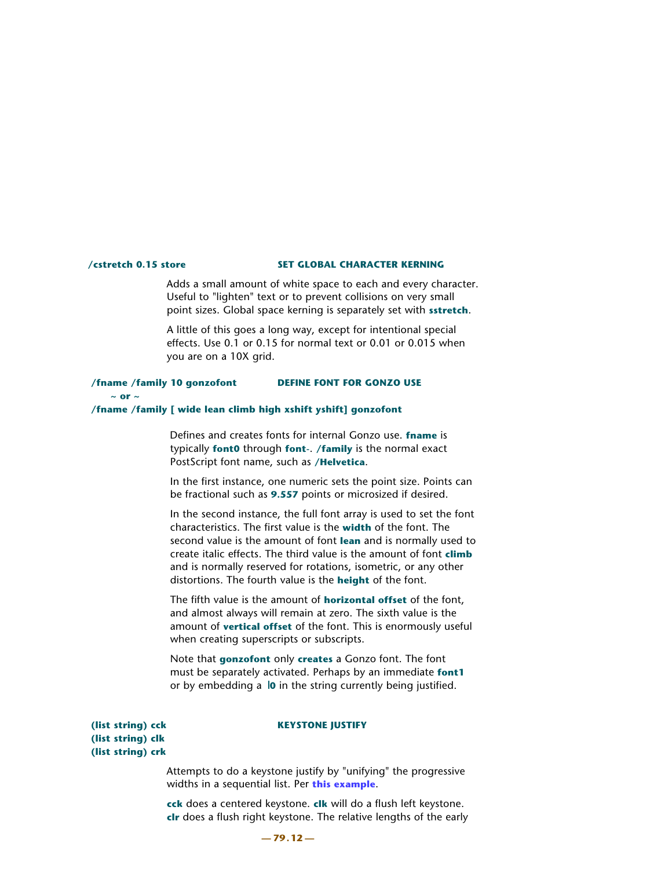#### **/cstretch 0.15 store SET GLOBAL CHARACTER KERNING**

Adds a small amount of white space to each and every character. Useful to "lighten" text or to prevent collisions on very small point sizes. Global space kerning is separately set with **sstretch**.

 A little of this goes a long way, except for intentional special effects. Use 0.1 or 0.15 for normal text or 0.01 or 0.015 when you are on a 10X grid.

### **/fname /family 10 gonzofont DEFINE FONT FOR GONZO USE**

#### $\sim$  or  $\sim$

#### **/fname /family [ wide lean climb high xshift yshift] gonzofont**

Defines and creates fonts for internal Gonzo use. **fname** is typically **font0** through **font-**. **/family** is the normal exact PostScript font name, such as **/Helvetica**.

 In the first instance, one numeric sets the point size. Points can be fractional such as **9.557** points or microsized if desired.

 In the second instance, the full font array is used to set the font characteristics. The first value is the **width** of the font. The second value is the amount of font **lean** and is normally used to create italic effects. The third value is the amount of font **climb** and is normally reserved for rotations, isometric, or any other distortions. The fourth value is the **height** of the font.

 The fifth value is the amount of **horizontal offset** of the font, and almost always will remain at zero. The sixth value is the amount of **vertical offset** of the font. This is enormously useful when creating superscripts or subscripts.

 Note that **gonzofont** only **creates** a Gonzo font. The font must be separately activated. Perhaps by an immediate **font1** or by embedding a **0** in the string currently being justified.

#### (list string) cck KEYSTONE JUSTIFY

 **(list string) clk (list string) crk**

> Attempts to do a keystone justify by "unifying" the progressive widths in a sequential list. Per **[this example](http://www.tinaja.com/glib/muse131.pdf)**.

 **cck** does a centered keystone. **clk** will do a flush left keystone. **clr** does a flush right keystone. The relative lengths of the early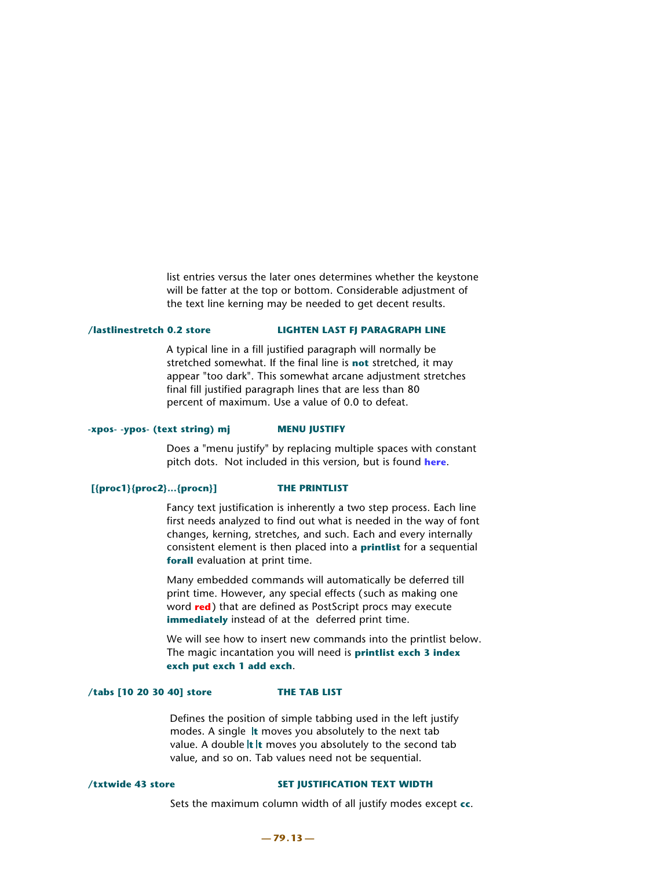list entries versus the later ones determines whether the keystone will be fatter at the top or bottom. Considerable adjustment of the text line kerning may be needed to get decent results.

#### **/lastlinestretch 0.2 store LIGHTEN LAST FJ PARAGRAPH LINE**

A typical line in a fill justified paragraph will normally be stretched somewhat. If the final line is **not** stretched, it may appear "too dark". This somewhat arcane adjustment stretches final fill justified paragraph lines that are less than 80 percent of maximum. Use a value of 0.0 to defeat.

#### **-xpos- -ypos- (text string) mj MENU JUSTIFY**

Does a "menu justify" by replacing multiple spaces with constant pitch dots. Not included in this version, but is found **[here](http://www.tinaja.com/post01.asp#begstuff)**.

#### **[{proc1}{proc2}...{procn}] THE PRINTLIST**

Fancy text justification is inherently a two step process. Each line first needs analyzed to find out what is needed in the way of font changes, kerning, stretches, and such. Each and every internally consistent element is then placed into a **printlist** for a sequential **forall** evaluation at print time.

 Many embedded commands will automatically be deferred till print time. However, any special effects (such as making one word **red**) that are defined as PostScript procs may execute **immediately** instead of at the deferred print time.

 We will see how to insert new commands into the printlist below. The magic incantation you will need is **printlist exch 3 index exch put exch 1 add exch**.

#### **/tabs [10 20 30 40] store THE TAB LIST**

Defines the position of simple tabbing used in the left justify modes. A single **t** moves you absolutely to the next tab value. A double **It It** moves you absolutely to the second tab value, and so on. Tab values need not be sequential.

#### /txtwide 43 store SET JUSTIFICATION TEXT WIDTH

Sets the maximum column width of all justify modes except **cc**.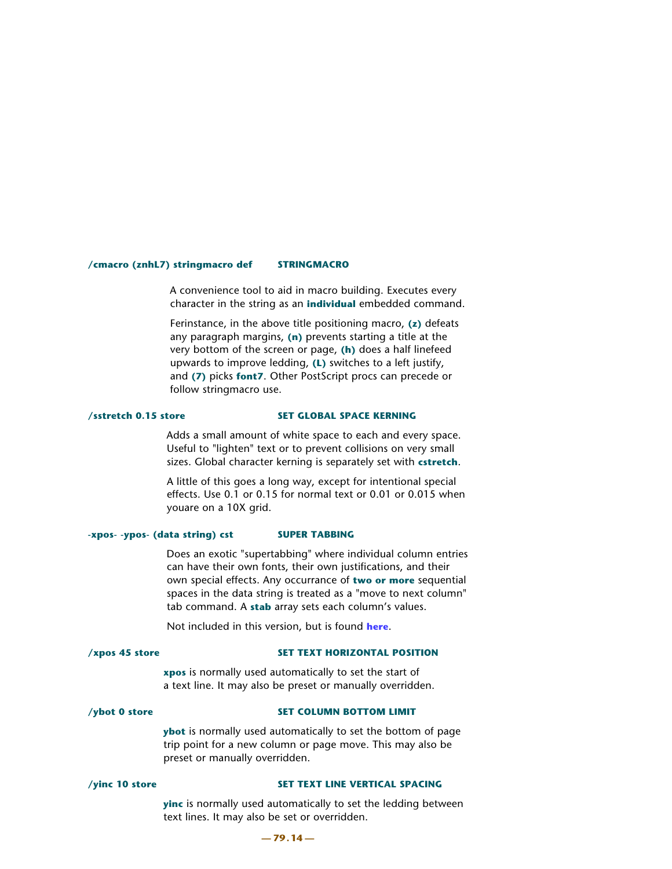#### **/cmacro (znhL7) stringmacro def STRINGMACRO**

A convenience tool to aid in macro building. Executes every character in the string as an **individual** embedded command.

 Ferinstance, in the above title positioning macro, **(z)** defeats any paragraph margins, **(n)** prevents starting a title at the very bottom of the screen or page, **(h)** does a half linefeed upwards to improve ledding, **(L)** switches to a left justify, and **(7)** picks **font7**. Other PostScript procs can precede or follow stringmacro use.

#### **/sstretch 0.15 store SET GLOBAL SPACE KERNING**

Adds a small amount of white space to each and every space. Useful to "lighten" text or to prevent collisions on very small sizes. Global character kerning is separately set with **cstretch**.

 A little of this goes a long way, except for intentional special effects. Use 0.1 or 0.15 for normal text or 0.01 or 0.015 when youare on a 10X grid.

#### **-xpos- -ypos- (data string) cst SUPER TABBING**

Does an exotic "supertabbing" where individual column entries can have their own fonts, their own justifications, and their own special effects. Any occurrance of **two or more** sequential spaces in the data string is treated as a "move to next column" tab command. A **stab** array sets each column's values.

Not included in this version, but is found **[here](http://www.tinaja.com/post01.asp#begstuff)**.

#### **/xpos 45 store SET TEXT HORIZONTAL POSITION**

 **xpos** is normally used automatically to set the start of a text line. It may also be preset or manually overridden.

#### /ybot 0 store SET COLUMN BOTTOM LIMIT

 **ybot** is normally used automatically to set the bottom of page trip point for a new column or page move. This may also be preset or manually overridden.

#### **/vinc 10 store SET TEXT LINE VERTICAL SPACING**

 **yinc** is normally used automatically to set the ledding between text lines. It may also be set or overridden.

#### **— 79.14 —**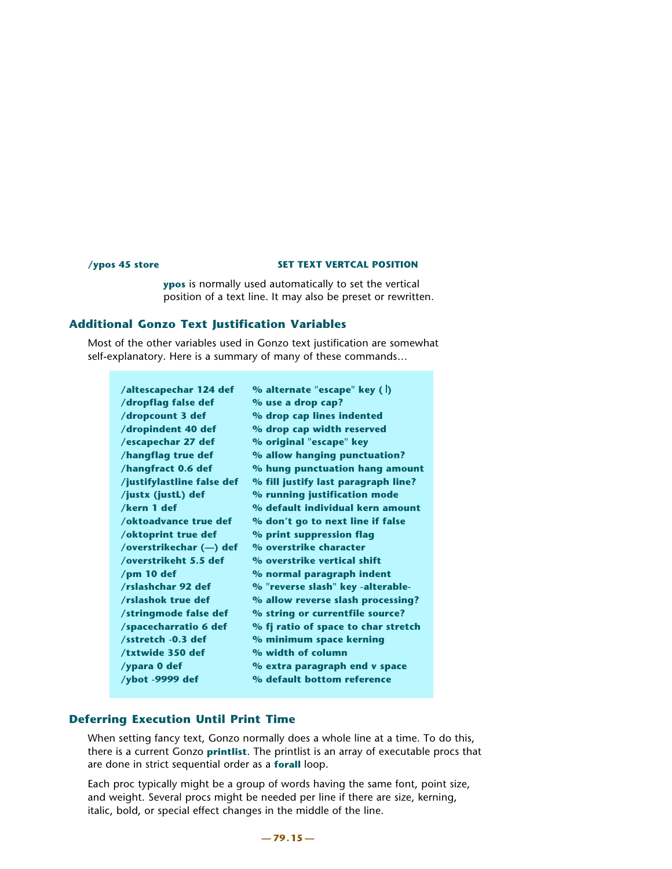#### **/ypos 45 store SET TEXT VERTCAL POSITION**

 **ypos** is normally used automatically to set the vertical position of a text line. It may also be preset or rewritten.

# **Additional Gonzo Text Justification Variables**

Most of the other variables used in Gonzo text justification are somewhat self-explanatory. Here is a summary of many of these commands…

| /altescapechar 124 def     | % alternate "escape" key (  )       |
|----------------------------|-------------------------------------|
| /dropflag false def        | % use a drop cap?                   |
| /dropcount 3 def           | % drop cap lines indented           |
| /dropindent 40 def         | % drop cap width reserved           |
| /escapechar 27 def         | % original "escape" key             |
| /hangflag true def         | % allow hanging punctuation?        |
| /hangfract 0.6 def         | % hung punctuation hang amount      |
| /justifylastline false def | % fill justify last paragraph line? |
| /justx (justL) def         | % running justification mode        |
| /kern 1 def                | % default individual kern amount    |
| /oktoadvance true def      | % don't go to next line if false    |
| /oktoprint true def        | % print suppression flag            |
| /overstrikechar (-) def    | % overstrike character              |
| /overstrikeht 5.5 def      | % overstrike vertical shift         |
| /pm 10 def                 | % normal paragraph indent           |
| /rslashchar 92 def         | % "reverse slash" key -alterable-   |
| /rslashok true def         | % allow reverse slash processing?   |
| /stringmode false def      | % string or currentfile source?     |
| /spacecharratio 6 def      | % fj ratio of space to char stretch |
| /sstretch -0.3 def         | % minimum space kerning             |
| /txtwide 350 def           | % width of column                   |
| /ypara 0 def               | % extra paragraph end v space       |
| /ybot -9999 def            | % default bottom reference          |
|                            |                                     |

# **Deferring Execution Until Print Time**

When setting fancy text, Gonzo normally does a whole line at a time. To do this, there is a current Gonzo **printlist**. The printlist is an array of executable procs that are done in strict sequential order as a **forall** loop.

Each proc typically might be a group of words having the same font, point size, and weight. Several procs might be needed per line if there are size, kerning, italic, bold, or special effect changes in the middle of the line.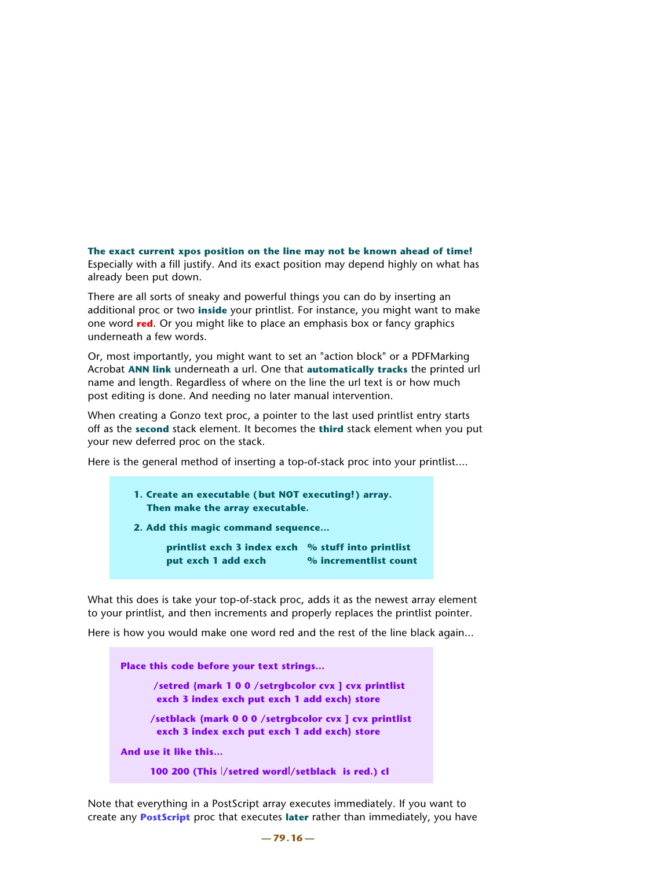#### **The exact current xpos position on the line may not be known ahead of time!**

Especially with a fill justify. And its exact position may depend highly on what has already been put down.

There are all sorts of sneaky and powerful things you can do by inserting an additional proc or two **inside** your printlist. For instance, you might want to make one word **red**. Or you might like to place an emphasis box or fancy graphics underneath a few words.

Or, most importantly, you might want to set an "action block" or a PDFMarking Acrobat **ANN link** underneath a url. One that **automatically tracks** the printed url name and length. Regardless of where on the line the url text is or how much post editing is done. And needing no later manual intervention.

When creating a Gonzo text proc, a pointer to the last used printlist entry starts off as the **second** stack element. It becomes the **third** stack element when you put your new deferred proc on the stack.

Here is the general method of inserting a top-of-stack proc into your printlist....

```
 1. Create an executable (but NOT executing!) array. 
Then make the array executable.
```
 **2. Add this magic command sequence…**

 **printlist exch 3 index exch %stuff into printlist put exch 1 add exch % incrementlist count** 

What this does is take your top-of-stack proc, adds it as the newest array element to your printlist, and then increments and properly replaces the printlist pointer.

Here is how you would make one word red and the rest of the line black again...

**Place this code before your text strings... /setred {mark 1 0 0 /setrgbcolor cvx ] cvx printlist exch 3 index exch put exch 1 add exch} store /setblack {mark 0 0 0 /setrgbcolor cvx ] cvx printlist exch 3 index exch put exch 1 add exch} store And use it like this…**

```
100 200 (This /setred word//setblack is red.) cl
```
Note that everything in a PostScript array executes immediately. If you want to create any **[PostScript](http://www.tinaja.com/post01.asp)** proc that executes **later** rather than immediately, you have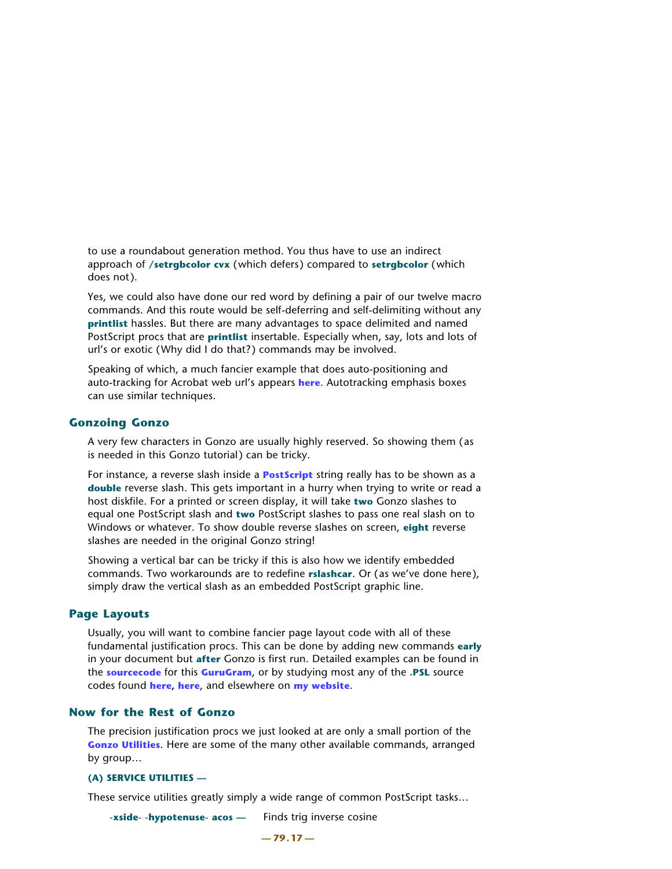to use a roundabout generation method. You thus have to use an indirect approach of **/setrgbcolor cvx** (which defers) compared to **setrgbcolor** (which does not).

Yes, we could also have done our red word by defining a pair of our twelve macro commands. And this route would be self-deferring and self-delimiting without any **printlist** hassles. But there are many advantages to space delimited and named PostScript procs that are **printlist** insertable. Especially when, say, lots and lots of url's or exotic (Why did I do that?) commands may be involved.

Speaking of which, a much fancier example that does auto-positioning and auto-tracking for Acrobat web url's appears **[here](http://www.tinaja.com/glib/autourl.pdf)**. Autotracking emphasis boxes can use similar techniques.

# **Gonzoing Gonzo**

A very few characters in Gonzo are usually highly reserved. So showing them (as is needed in this Gonzo tutorial) can be tricky.

For instance, a reverse slash inside a **[PostScript](http://www.tinaja.com/post01.asp)** string really has to be shown as a **double** reverse slash. This gets important in a hurry when trying to write or read a host diskfile. For a printed or screen display, it will take **two** Gonzo slashes to equal one PostScript slash and **two** PostScript slashes to pass one real slash on to Windows or whatever. To show double reverse slashes on screen, **eight** reverse slashes are needed in the original Gonzo string!

Showing a vertical bar can be tricky if this is also how we identify embedded commands. Two workarounds are to redefine **rslashcar**. Or (as we've done here), simply draw the vertical slash as an embedded PostScript graphic line.

# **Page Layouts**

Usually, you will want to combine fancier page layout code with all of these fundamental justification procs. This can be done by adding new commands **early** in your document but **after** Gonzo is first run. Detailed examples can be found in the **[sourcecode](http://www.tinaja.com/glib/gonzotut.psl)** for this **[GuruGram](http://www.tinaja.com/gurgrm01.asp)**, or by studying most any of the **.PSL** source codes found **[here,](http://www.tinaja.com/gurgrm01.asp) [here](http://www.tinaja.com/muse01.asp)**, and elsewhere on **[my website](http://www.tinaja.com)**.

## **Now for the Rest of Gonzo**

The precision justification procs we just looked at are only a small portion of the **[Gonzo Utilities](http://www.tinaja.com/post01.asp#gonzo)**. Here are some of the many other available commands, arranged by group…

### **(A) SERVICE UTILITIES —**

These service utilities greatly simply a wide range of common PostScript tasks…

**-xside- -hypotenuse- acos —** Finds trig inverse cosine

**— 79.17 —**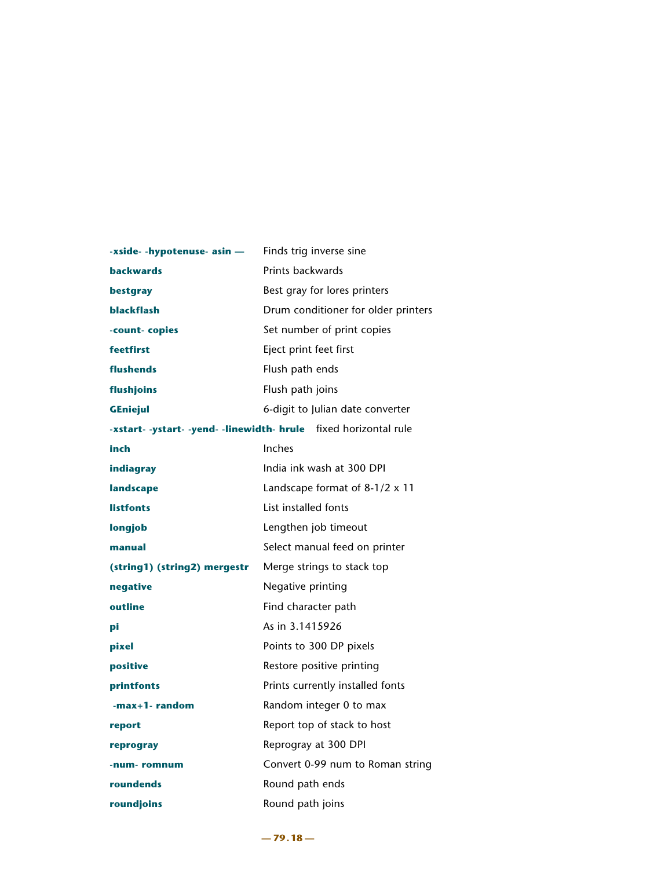| -xside- -hypotenuse- asin -  | Finds trig inverse sine                                          |
|------------------------------|------------------------------------------------------------------|
| <b>backwards</b>             | Prints backwards                                                 |
| bestgray                     | Best gray for lores printers                                     |
| <b>blackflash</b>            | Drum conditioner for older printers                              |
| -count-copies                | Set number of print copies                                       |
| feetfirst                    | Eject print feet first                                           |
| flushends                    | Flush path ends                                                  |
| flushjoins                   | Flush path joins                                                 |
| <b>GEniejul</b>              | 6-digit to Julian date converter                                 |
|                              | -xstart- -ystart- -yend- -linewidth- hrule fixed horizontal rule |
| inch                         | Inches                                                           |
| indiagray                    | India ink wash at 300 DPI                                        |
| landscape                    | Landscape format of 8-1/2 x 11                                   |
| <b>listfonts</b>             | List installed fonts                                             |
| longjob                      | Lengthen job timeout                                             |
| manual                       | Select manual feed on printer                                    |
| (string1) (string2) mergestr | Merge strings to stack top                                       |
| negative                     | Negative printing                                                |
| outline                      | Find character path                                              |
| рi                           | As in 3.1415926                                                  |
| pixel                        | Points to 300 DP pixels                                          |
| positive                     | Restore positive printing                                        |
| printfonts                   | Prints currently installed fonts                                 |
| -max+1-random                | Random integer 0 to max                                          |
| report                       | Report top of stack to host                                      |
| reprogray                    | Reprogray at 300 DPI                                             |
| -num-romnum                  | Convert 0-99 num to Roman string                                 |
| roundends                    | Round path ends                                                  |
| roundjoins                   | Round path joins                                                 |

**— 79.18 —**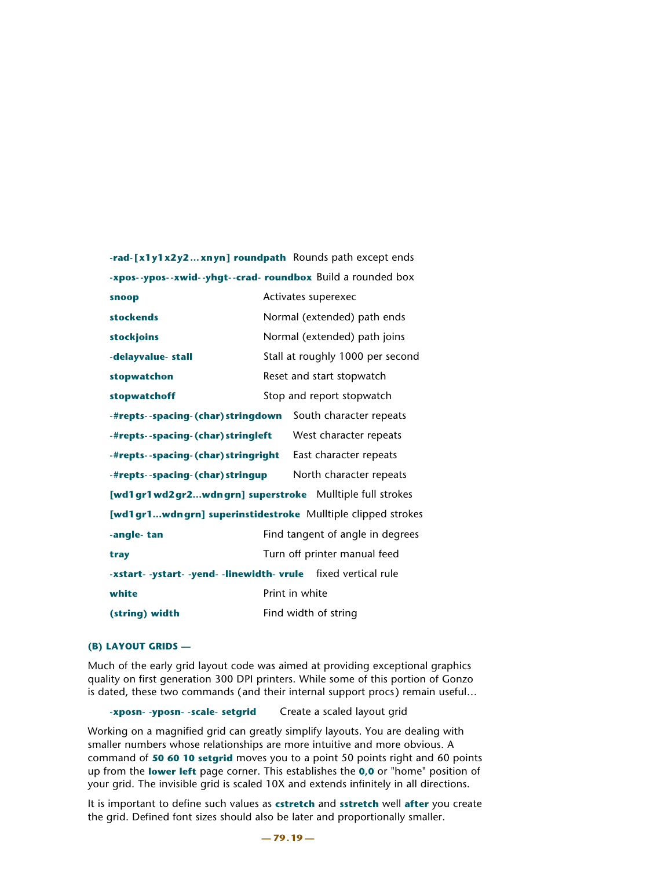|                                                                | -rad-[x1y1x2y2xnyn] roundpath Rounds path except ends       |
|----------------------------------------------------------------|-------------------------------------------------------------|
|                                                                | -xpos--ypos--xwid--yhgt--crad- roundbox Build a rounded box |
| snoop                                                          | Activates superexec                                         |
| stockends                                                      | Normal (extended) path ends                                 |
| stockjoins                                                     | Normal (extended) path joins                                |
| -delayvalue- stall                                             | Stall at roughly 1000 per second                            |
| stopwatchon                                                    | Reset and start stopwatch                                   |
| stopwatchoff                                                   | Stop and report stopwatch                                   |
| -#repts--spacing-(char)stringdown                              | South character repeats                                     |
| -#repts--spacing-(char) stringleft                             | West character repeats                                      |
| -#repts--spacing-(char) stringright                            | East character repeats                                      |
| -#repts--spacing-(char) stringup                               | North character repeats                                     |
|                                                                | [wd1 gr1 wd2 gr2wdn grn] superstroke Mulltiple full strokes |
|                                                                | [wd1gr1wdngrn] superinstidestroke Mulltiple clipped strokes |
| -angle-tan                                                     | Find tangent of angle in degrees                            |
| tray                                                           | Turn off printer manual feed                                |
| -xstart- -ystart- -yend- -linewidth- vrule fixed vertical rule |                                                             |
| white                                                          | Print in white                                              |
| (string) width                                                 | Find width of string                                        |

### **(B) LAYOUT GRIDS —**

Much of the early grid layout code was aimed at providing exceptional graphics quality on first generation 300 DPI printers. While some of this portion of Gonzo is dated, these two commands (and their internal support procs) remain useful…

**-xposn- -yposn- -scale- setgrid** Create a scaled layout grid

Working on a magnified grid can greatly simplify layouts. You are dealing with smaller numbers whose relationships are more intuitive and more obvious. A command of **50 60 10 setgrid** moves you to a point 50 points right and 60 points up from the **lower left** page corner. This establishes the **0,0** or "home" position of your grid. The invisible grid is scaled 10X and extends infinitely in all directions.

It is important to define such values as **cstretch** and **sstretch** well **after** you create the grid. Defined font sizes should also be later and proportionally smaller.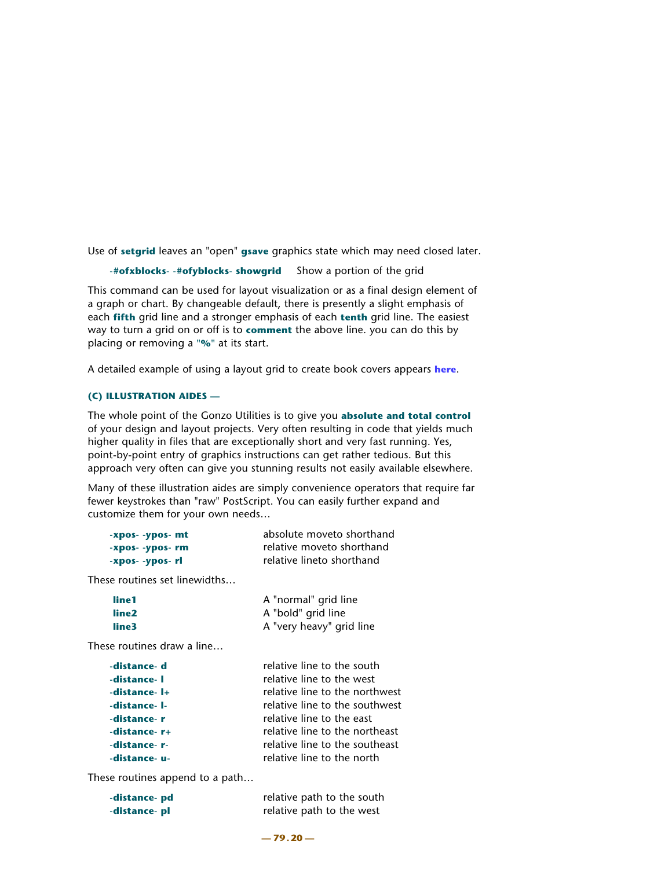Use of **setgrid** leaves an "open" **gsave** graphics state which may need closed later.

```
-#ofxblocks- -#ofyblocks- showgrid Show a portion of the grid
```
This command can be used for layout visualization or as a final design element of a graph or chart. By changeable default, there is presently a slight emphasis of each **fifth** grid line and a stronger emphasis of each **tenth** grid line. The easiest way to turn a grid on or off is to **comment** the above line. you can do this by placing or removing a **"%"** at its start.

A detailed example of using a layout grid to create book covers appears **[here](http://www.tinaja.com/glib/bookcvr1.pdf)**.

# **(C) ILLUSTRATION AIDES —**

The whole point of the Gonzo Utilities is to give you **absolute and total control** of your design and layout projects. Very often resulting in code that yields much higher quality in files that are exceptionally short and very fast running. Yes, point-by-point entry of graphics instructions can get rather tedious. But this approach very often can give you stunning results not easily available elsewhere.

Many of these illustration aides are simply convenience operators that require far fewer keystrokes than "raw" PostScript. You can easily further expand and customize them for your own needs…

| -xpos- -ypos- mt | absolute moveto shorthand |
|------------------|---------------------------|
| -Xpos- -ypos- rm | relative moveto shorthand |
| -xpos- -ypos- rl | relative lineto shorthand |

These routines set linewidths…

| line1 | A "normal" grid line     |
|-------|--------------------------|
| line2 | A "bold" grid line       |
| line3 | A "very heavy" grid line |

These routines draw a line…

| -distance-d   | relative line to the south     |
|---------------|--------------------------------|
| -distance- I  | relative line to the west      |
| -distance- I+ | relative line to the northwest |
| -distance- I- | relative line to the southwest |
| -distance-r   | relative line to the east      |
| -distance-r+  | relative line to the northeast |
| -distance-r-  | relative line to the southeast |
| -distance- u- | relative line to the north     |

These routines append to a path…

| -distance- pd | relative path to the south |
|---------------|----------------------------|
| -distance- pl | relative path to the west  |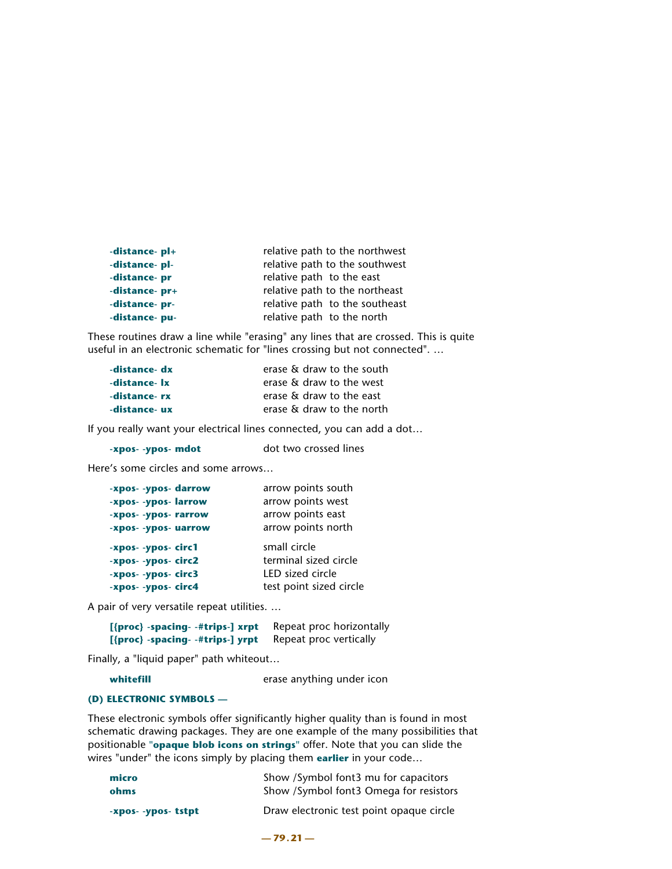| -distance-pl+  | relative path to the northwest |
|----------------|--------------------------------|
| -distance-pl-  | relative path to the southwest |
| -distance- pr  | relative path to the east      |
| -distance- pr+ | relative path to the northeast |
| -distance- pr- | relative path to the southeast |
| -distance-pu-  | relative path to the north     |

These routines draw a line while "erasing" any lines that are crossed. This is quite useful in an electronic schematic for "lines crossing but not connected". …

| -distance- dx | erase & draw to the south |
|---------------|---------------------------|
| -distance- lx | erase & draw to the west  |
| -distance- rx | erase & draw to the east  |
| -distance- ux | erase & draw to the north |

If you really want your electrical lines connected, you can add a dot…

| -xpos- -ypos- mdot | dot two crossed lines |
|--------------------|-----------------------|
|--------------------|-----------------------|

Here's some circles and some arrows…

| -xpos- -ypos- darrow | arrow points south    |
|----------------------|-----------------------|
| -xpos- -ypos- larrow | arrow points west     |
| -xpos- -ypos- rarrow | arrow points east     |
| -xpos- -ypos- uarrow | arrow points north    |
|                      |                       |
| -xpos- -ypos- circ1  | small circle          |
| -xpos- -ypos- circ2  | terminal sized circle |
| -xpos- -ypos- circ3  | LED sized circle      |

A pair of very versatile repeat utilities. …

| [{proc} -spacing- -#trips-] xrpt | Repeat proc horizontally |
|----------------------------------|--------------------------|
| [{proc} -spacing- -#trips-] yrpt | Repeat proc vertically   |

Finally, a "liquid paper" path whiteout…

```
whitefill erase anything under icon
```
### **(D) ELECTRONIC SYMBOLS —**

These electronic symbols offer significantly higher quality than is found in most schematic drawing packages. They are one example of the many possibilities that positionable **"opaque blob icons on strings"** offer. Note that you can slide the wires "under" the icons simply by placing them **earlier** in your code…

| micro               | Show /Symbol font3 mu for capacitors     |
|---------------------|------------------------------------------|
| ohms                | Show /Symbol font3 Omega for resistors   |
| -xpos- -ypos- tstpt | Draw electronic test point opaque circle |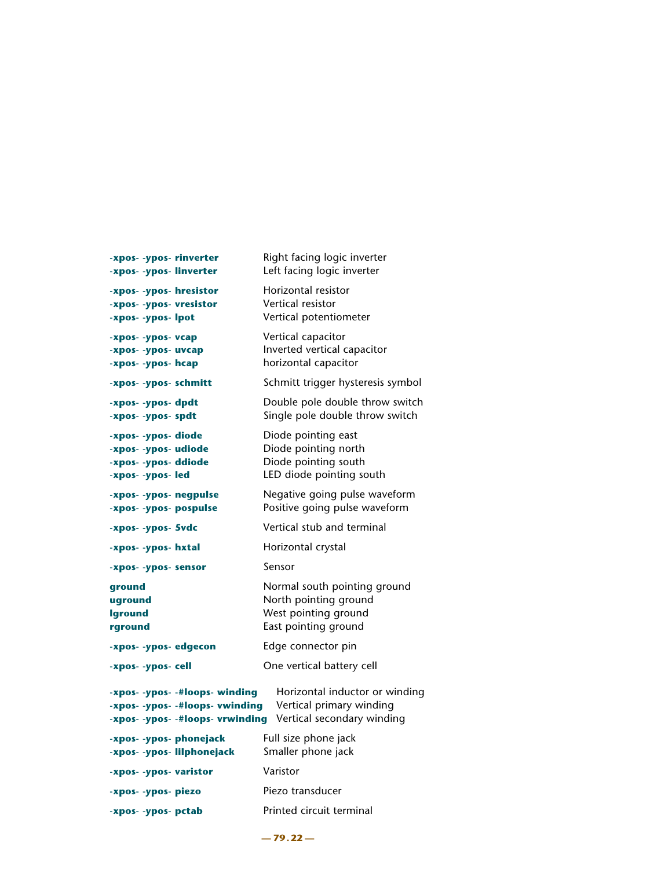| -xpos- -ypos- rinverter          | Right facing logic inverter       |
|----------------------------------|-----------------------------------|
| -xpos- -ypos- linverter          | Left facing logic inverter        |
| -xpos- -ypos- hresistor          | Horizontal resistor               |
| -xpos- -ypos- vresistor          | Vertical resistor                 |
| -xpos- -ypos- lpot               | Vertical potentiometer            |
| -xpos- -ypos- vcap               | Vertical capacitor                |
| -xpos- -ypos- uvcap              | Inverted vertical capacitor       |
| -xpos- -ypos- hcap               | horizontal capacitor              |
| -xpos- -ypos- schmitt            | Schmitt trigger hysteresis symbol |
| -xpos- -ypos- dpdt               | Double pole double throw switch   |
| -xpos- -ypos- spdt               | Single pole double throw switch   |
| -xpos- -ypos- diode              | Diode pointing east               |
| -xpos- -ypos- udiode             | Diode pointing north              |
| -xpos- -ypos- ddiode             | Diode pointing south              |
| -xpos- -ypos- led                | LED diode pointing south          |
| -xpos- -ypos- negpulse           | Negative going pulse waveform     |
| -xpos- -ypos- pospulse           | Positive going pulse waveform     |
| -xpos- -ypos- 5vdc               | Vertical stub and terminal        |
| -xpos- -ypos- hxtal              | Horizontal crystal                |
| -xpos- -ypos- sensor             | Sensor                            |
| ground                           | Normal south pointing ground      |
| uground                          | North pointing ground             |
| <b>Iground</b>                   | West pointing ground              |
| rground                          | East pointing ground              |
| -xpos- -ypos- edgecon            | Edge connector pin                |
| -xpos- -ypos- cell               | One vertical battery cell         |
| -xpos- -ypos- -#loops- winding   | Horizontal inductor or winding    |
| -xpos- -ypos- -#loops- vwinding  | Vertical primary winding          |
| -xpos- -ypos- -#loops- vrwinding | Vertical secondary winding        |
| -xpos- -ypos- phonejack          | Full size phone jack              |
| -xpos- -ypos- lilphonejack       | Smaller phone jack                |
| -xpos- -ypos- varistor           | Varistor                          |
| -xpos- -ypos- piezo              | Piezo transducer                  |
| -xpos- -ypos- pctab              | Printed circuit terminal          |

**— 79.22 —**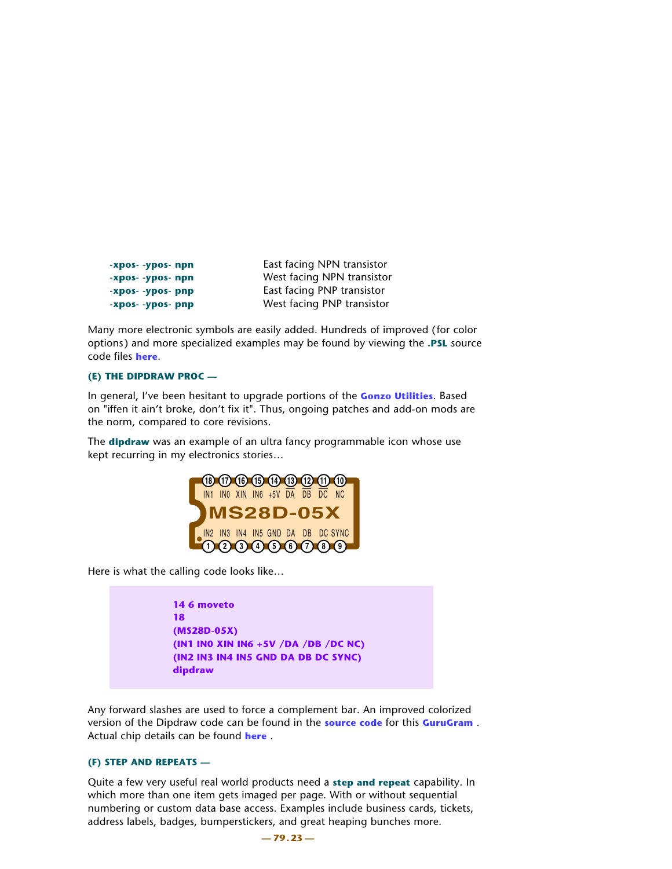| -xpos- -ypos- npn | East facing NPN transistor |
|-------------------|----------------------------|
| -xpos- -ypos- npn | West facing NPN transistor |
| -xpos- -ypos- pnp | East facing PNP transistor |
| -xpos- -ypos- pnp | West facing PNP transistor |

Many more electronic symbols are easily added. Hundreds of improved (for color options) and more specialized examples may be found by viewing the **.PSL** source code files **[here](http://www.tinaja.com/muse01.asp)**.

### **(E) THE DIPDRAW PROC —**

In general, I've been hesitant to upgrade portions of the **[Gonzo Utilities](http://www.tinaja.com/post01.asp#gonzo)**. Based on "iffen it ain't broke, don't fix it". Thus, ongoing patches and add-on mods are the norm, compared to core revisions.

The **dipdraw** was an example of an ultra fancy programmable icon whose use kept recurring in my electronics stories…



Here is what the calling code looks like…

 **14 6 moveto 18 (MS28D-05X) (IN1 IN0 XIN IN6 +5V /DA /DB /DC NC) (IN2 IN3 IN4 IN5 GND DA DB DC SYNC) dipdraw**

Any forward slashes are used to force a complement bar. An improved colorized version of the Dipdraw code can be found in the **[source code](http://www.tinaja.com/glib/gonzotut.psl)** for this **[GuruGram](http://www.tinaja.com/gurgrm01.asp)** . Actual chip details can be found **[here](http://www.tinaja.com/magsn01.asp)** .

### **(F) STEP AND REPEATS —**

Quite a few very useful real world products need a **step and repeat** capability. In which more than one item gets imaged per page. With or without sequential numbering or custom data base access. Examples include business cards, tickets, address labels, badges, bumperstickers, and great heaping bunches more.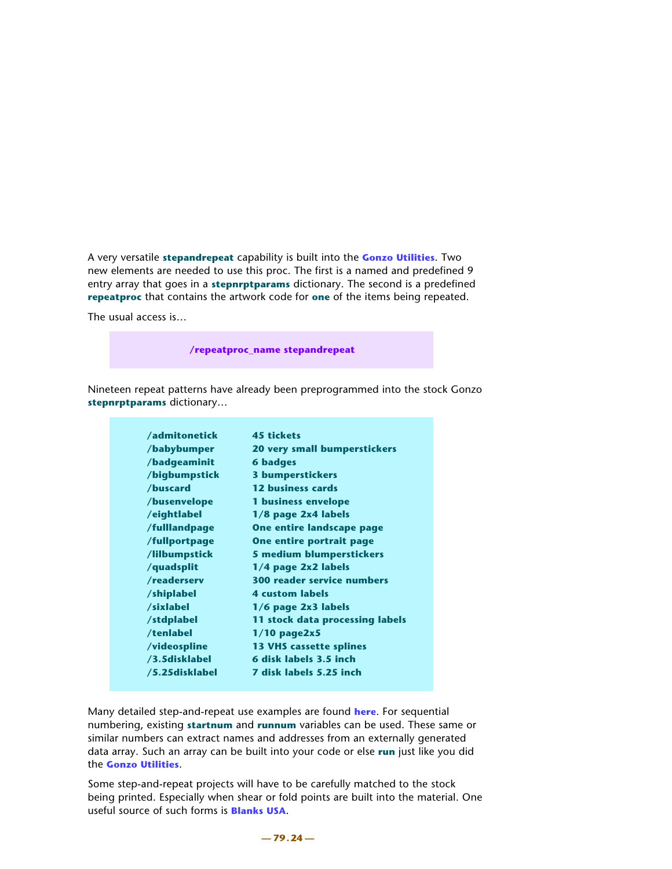A very versatile **stepandrepeat** capability is built into the **[Gonzo Utilities](http://www.tinaja.com/post01.asp#gonzo)**. Two new elements are needed to use this proc. The first is a named and predefined 9 entry array that goes in a **stepnrptparams** dictionary. The second is a predefined **repeatproc** that contains the artwork code for **one** of the items being repeated.

The usual access is…

 **/repeatproc\_name stepandrepeat** 

Nineteen repeat patterns have already been preprogrammed into the stock Gonzo **stepnrptparams** dictionary…

| /admitonetick  | <b>45 tickets</b>                 |
|----------------|-----------------------------------|
| /babybumper    | 20 very small bumperstickers      |
| /badgeaminit   | <b>6 badges</b>                   |
| /bigbumpstick  | <b>3 bumperstickers</b>           |
| /buscard       | 12 business cards                 |
| /busenvelope   | 1 business envelope               |
| /eightlabel    | 1/8 page 2x4 labels               |
| /fulllandpage  | One entire landscape page         |
| /fullportpage  | One entire portrait page          |
| /lilbumpstick  | 5 medium blumperstickers          |
| /quadsplit     | 1/4 page 2x2 labels               |
| /readerserv    | <b>300 reader service numbers</b> |
| /shiplabel     | <b>4 custom labels</b>            |
| /sixlabel      | $1/6$ page $2x3$ labels           |
| /stdplabel     | 11 stock data processing labels   |
| /tenlabel      | $1/10$ page2x5                    |
| /videospline   | <b>13 VHS cassette splines</b>    |
| /3.5disklabel  | 6 disk labels 3.5 inch            |
| /5.25disklabel | 7 disk labels 5.25 inch           |

Many detailed step-and-repeat use examples are found **[here](http://www.tinaja.com/post01.asp#begstuff)**. For sequential numbering, existing **startnum** and **runnum** variables can be used. These same or similar numbers can extract names and addresses from an externally generated data array. Such an array can be built into your code or else **run** just like you did the **[Gonzo Utilities](http://www.tinaja.com/post01.asp#gonzo)**.

Some step-and-repeat projects will have to be carefully matched to the stock being printed. Especially when shear or fold points are built into the material. One useful source of such forms is **[Blanks USA](http://www.blanksusa.com)**.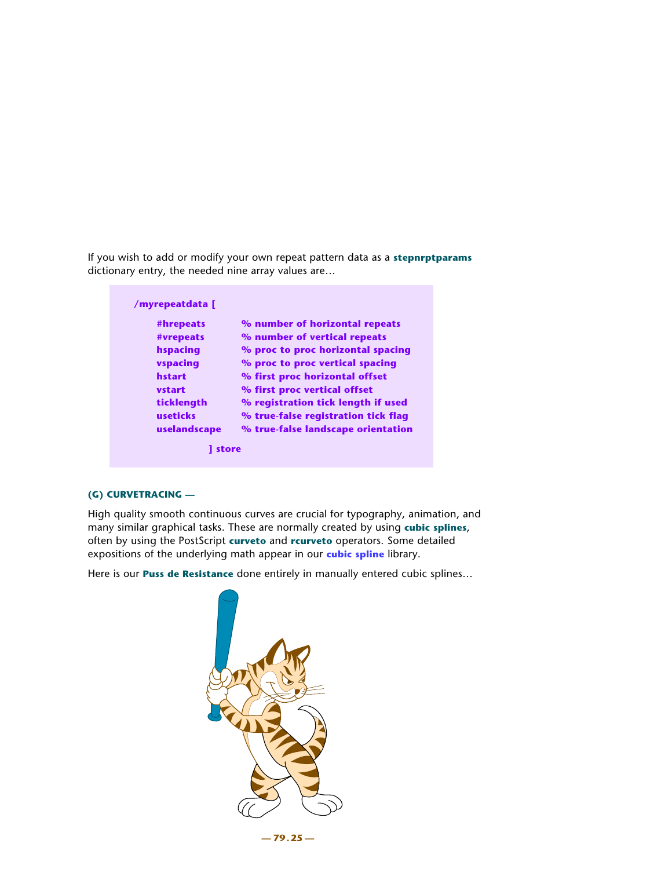If you wish to add or modify your own repeat pattern data as a **stepnrptparams** dictionary entry, the needed nine array values are…

| #hrepeats    | % number of horizontal repeats      |
|--------------|-------------------------------------|
| #vrepeats    | % number of vertical repeats        |
| hspacing     | % proc to proc horizontal spacing   |
| vspacing     | % proc to proc vertical spacing     |
| hstart       | % first proc horizontal offset      |
| vstart       | % first proc vertical offset        |
| ticklength   | % registration tick length if used  |
| useticks     | % true-false registration tick flag |
| uselandscape | % true-false landscape orientation  |

## **(G) CURVETRACING —**

High quality smooth continuous curves are crucial for typography, animation, and many similar graphical tasks. These are normally created by using **cubic splines**, often by using the PostScript **curveto** and **rcurveto** operators. Some detailed expositions of the underlying math appear in our **[cubic spline](http://www.tinaja.com/cubic01.asp)** library.

Here is our **Puss de Resistance** done entirely in manually entered cubic splines…

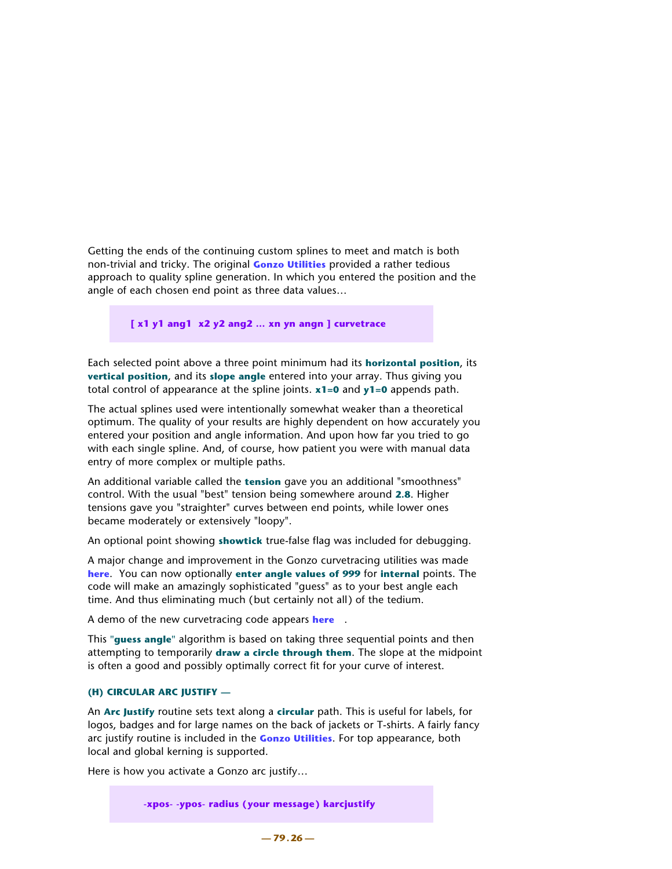Getting the ends of the continuing custom splines to meet and match is both non-trivial and tricky. The original **[Gonzo Utilities](http://www.tinaja.com/post01.asp#gonzo)** provided a rather tedious approach to quality spline generation. In which you entered the position and the angle of each chosen end point as three data values…

 **[ x1 y1 ang1 x2 y2 ang2 … xn yn angn ] curvetrace** 

Each selected point above a three point minimum had its **horizontal position**, its **vertical position**, and its **slope angle** entered into your array. Thus giving you total control of appearance at the spline joints. **x1=0** and **y1=0** appends path.

The actual splines used were intentionally somewhat weaker than a theoretical optimum. The quality of your results are highly dependent on how accurately you entered your position and angle information. And upon how far you tried to go with each single spline. And, of course, how patient you were with manual data entry of more complex or multiple paths.

An additional variable called the **tension** gave you an additional "smoothness" control. With the usual "best" tension being somewhere around **2.8**. Higher tensions gave you "straighter" curves between end points, while lower ones became moderately or extensively "loopy".

An optional point showing **showtick** true-false flag was included for debugging.

A major change and improvement in the Gonzo curvetracing utilities was made **[here](http://www.tinaja.com/psutils/curvetr2.psl)**. You can now optionally **enter angle values of 999** for **internal** points. The code will make an amazingly sophisticated "guess" as to your best angle each time. And thus eliminating much (but certainly not all) of the tedium.

A demo of the new curvetracing code appears **[here](http://www.tinaja.com/psutils/curvetr2.pdf)** .

This **"guess angle"** algorithm is based on taking three sequential points and then attempting to temporarily **draw a circle through them**. The slope at the midpoint is often a good and possibly optimally correct fit for your curve of interest.

# **(H) CIRCULAR ARC JUSTIFY —**

An **Arc Justify** routine sets text along a **circular** path. This is useful for labels, for logos, badges and for large names on the back of jackets or T-shirts. A fairly fancy arc justify routine is included in the **[Gonzo Utilities](http://www.tinaja.com/post01.asp#gonzo)**. For top appearance, both local and global kerning is supported.

Here is how you activate a Gonzo arc justify…

 **-xpos- -ypos- radius (your message) karcjustify**